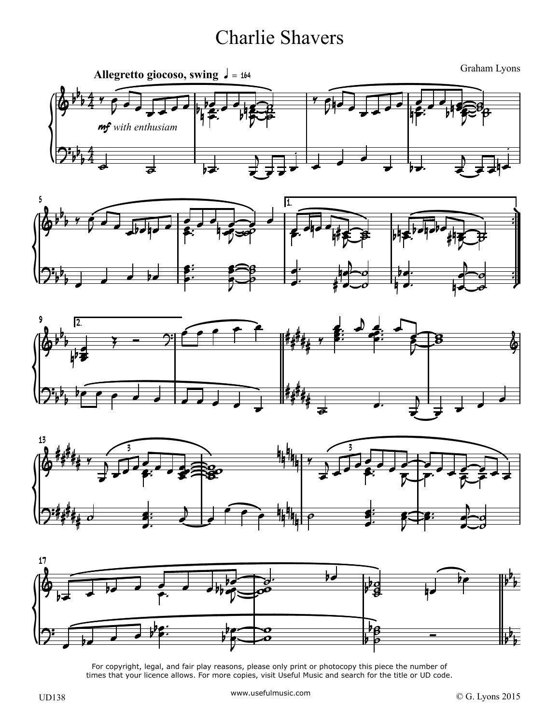## Charlie Shavers











For copyright, legal, and fair play reasons, please only print or photocopy this piece the number of times that your licence allows. For more copies, visit Useful Music and search for the title or UD code.